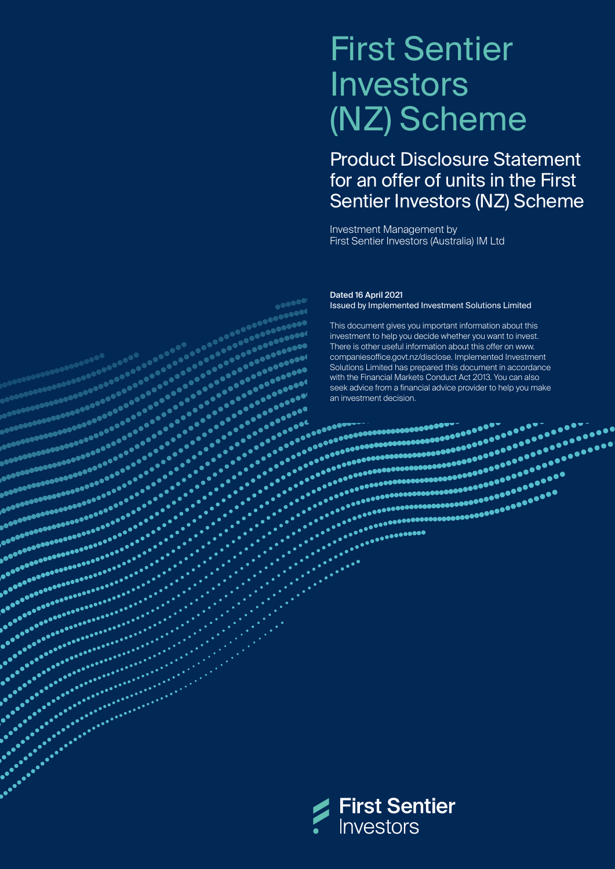# First Sentier Investors (NZ) Scheme

Product Disclosure Statement for an offer of units in the First Sentier Investors (NZ) Scheme

Investment Management by First Sentier Investors (Australia) IM Ltd

Dated 16 April 2021 Issued by Implemented Investment Solutions Limited

This document gives you important information about this investment to help you decide whether you want to invest. There is other useful information about this offer on [www.](http://www.companiesoffice.govt.nz/disclose) [companiesoffice.govt.nz/disclose.](http://www.companiesoffice.govt.nz/disclose) Implemented Investment Solutions Limited has prepared this document in accordance with the Financial Markets Conduct Act 2013. You can also seek advice from a financial advice provider to help you make



aconous concerned and according to the composite of the composite of the composite of the composite of the com<br>and according to the composite of the composite of the composite of the composite of the composite of the comp<br>

as accessives and accessive<br>accessives accessives<br>accessives accessives<br>accessives accessives

an agalactic agalactic<br>agalactic agalactic<br>agalactic agalactic<br>agalactic agalactic<br>agalactic agalactic 

an an an amhan<br>an an an an an an an<br>an an an an an an an<br>an an an an an an an an<br>an an an an an an an an 

entications<br>considerables<br>considerables<br>considerables

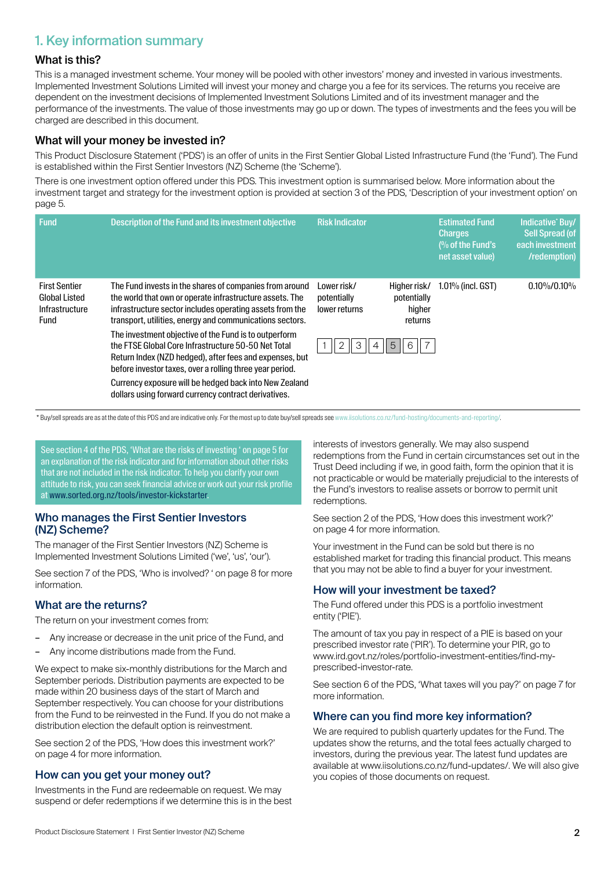# 1. Key information summary

#### What is this?

This is a managed investment scheme. Your money will be pooled with other investors' money and invested in various investments. Implemented Investment Solutions Limited will invest your money and charge you a fee for its services. The returns you receive are dependent on the investment decisions of Implemented Investment Solutions Limited and of its investment manager and the performance of the investments. The value of those investments may go up or down. The types of investments and the fees you will be charged are described in this document.

## What will your money be invested in?

This Product Disclosure Statement ('PDS') is an offer of units in the First Sentier Global Listed Infrastructure Fund (the 'Fund'). The Fund is established within the First Sentier Investors (NZ) Scheme (the 'Scheme').

There is one investment option offered under this PDS. This investment option is summarised below. More information about the investment target and strategy for the investment option is provided at section 3 of the PDS, 'Description of your investment option' on page 5.

| <b>Fund</b>                                                            | Description of the Fund and its investment objective                                                                                                                                                                                        | <b>Risk Indicator</b>                       |                                                  | <b>Estimated Fund</b><br><b>Charges</b><br>$\frac{10}{6}$ of the Fund's<br>net asset value) | Indicative' Buy/<br><b>Sell Spread (of</b><br>each investment<br>/redemption) |
|------------------------------------------------------------------------|---------------------------------------------------------------------------------------------------------------------------------------------------------------------------------------------------------------------------------------------|---------------------------------------------|--------------------------------------------------|---------------------------------------------------------------------------------------------|-------------------------------------------------------------------------------|
| <b>First Sentier</b><br><b>Global Listed</b><br>Infrastructure<br>Fund | The Fund invests in the shares of companies from around<br>the world that own or operate infrastructure assets. The<br>infrastructure sector includes operating assets from the<br>transport, utilities, energy and communications sectors. | Lower risk/<br>potentially<br>lower returns | Higher risk/<br>potentially<br>higher<br>returns | $1.01\%$ (incl. GST)                                                                        | $0.10\% / 0.10\%$                                                             |
|                                                                        | The investment objective of the Fund is to outperform<br>the FTSF Global Core Infrastructure 50-50 Net Total<br>Return Index (NZD hedged), after fees and expenses, but<br>before investor taxes, over a rolling three year period.         | 2<br>3                                      | 5<br>$\overline{7}$<br>6                         |                                                                                             |                                                                               |
|                                                                        | Currency exposure will be hedged back into New Zealand<br>dollars using forward currency contract derivatives.                                                                                                                              |                                             |                                                  |                                                                                             |                                                                               |

\* Buy/sell spreads are as at the date of this PDS and are indicative only. For the most up to date buy/sell spreads se[e www.iisolutions.co.nz/fund-hosting/documents-and-reporting/.](http:// www.iisolutions.co.nz/fund-hosting/documents-and-reporting/)

See section 4 of the PDS, 'What are the risks of investing ' on page 5 for an explanation of the risk indicator and for information about other risks that are not included in the risk indicator. To help you clarify your own attitude to risk, you can seek financial advice or work out your risk profile at <www.sorted.org.nz/tools/investor-kickstarter>.

#### Who manages the First Sentier Investors (NZ) Scheme?

The manager of the First Sentier Investors (NZ) Scheme is Implemented Investment Solutions Limited ('we', 'us', 'our').

See section 7 of the PDS, 'Who is involved? ' on page 8 for more information.

## What are the returns?

The return on your investment comes from:

- Any increase or decrease in the unit price of the Fund, and
- Any income distributions made from the Fund.

We expect to make six-monthly distributions for the March and September periods. Distribution payments are expected to be made within 20 business days of the start of March and September respectively. You can choose for your distributions from the Fund to be reinvested in the Fund. If you do not make a distribution election the default option is reinvestment.

See section 2 of the PDS, 'How does this investment work?' on page 4 for more information.

### How can you get your money out?

Investments in the Fund are redeemable on request. We may suspend or defer redemptions if we determine this is in the best interests of investors generally. We may also suspend redemptions from the Fund in certain circumstances set out in the Trust Deed including if we, in good faith, form the opinion that it is not practicable or would be materially prejudicial to the interests of the Fund's investors to realise assets or borrow to permit unit redemptions.

See section 2 of the PDS, 'How does this investment work?' on page 4 for more information.

Your investment in the Fund can be sold but there is no established market for trading this financial product. This means that you may not be able to find a buyer for your investment.

### How will your investment be taxed?

The Fund offered under this PDS is a portfolio investment entity ('PIE').

The amount of tax you pay in respect of a PIE is based on your prescribed investor rate ('PIR'). To determine your PIR, go to [www.ird.govt.nz/roles/portfolio-investment-entities/find-my](http://www.ird.govt.nz/roles/portfolio-investment-entities/find-my-prescribed-investor-rate)[prescribed-investor-rate.](http://www.ird.govt.nz/roles/portfolio-investment-entities/find-my-prescribed-investor-rate)

See section 6 of the PDS, 'What taxes will you pay?' on page 7 for more information.

### Where can you find more key information?

We are required to publish quarterly updates for the Fund. The updates show the returns, and the total fees actually charged to investors, during the previous year. The latest fund updates are available at [www.iisolutions.co.nz/fund-updates/](http://www.iisolutions.co.nz/fund-updates/). We will also give you copies of those documents on request.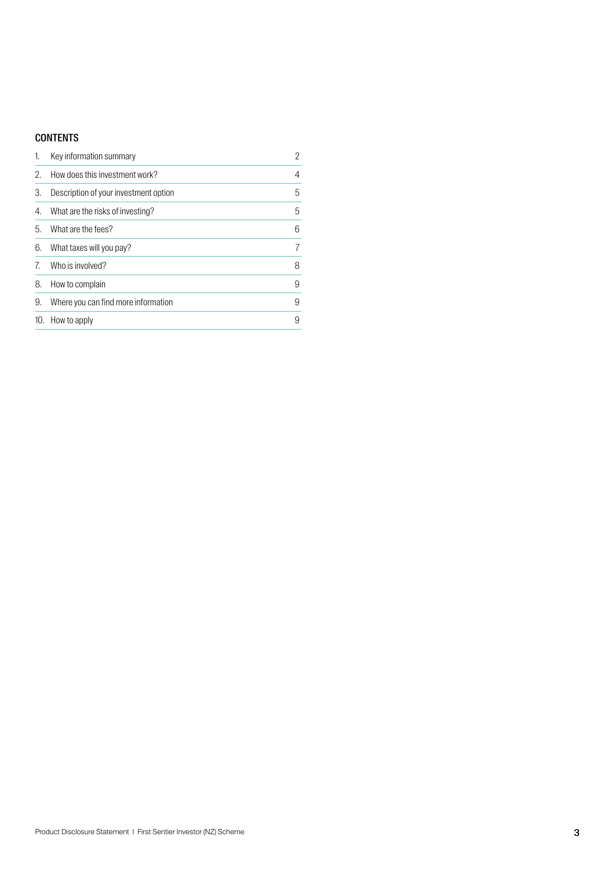## **CONTENTS**

| 1. | Key information summary               | $\overline{2}$ |
|----|---------------------------------------|----------------|
| 2. | How does this investment work?        | 4              |
| 3. | Description of your investment option | 5              |
| 4. | What are the risks of investing?      | 5              |
| 5. | What are the fees?                    | 6              |
| 6. | What taxes will you pay?              | 7              |
| 7. | Who is involved?                      | 8              |
| 8. | How to complain                       | 9              |
| 9. | Where you can find more information   | 9              |
|    | 10. How to apply                      | 9              |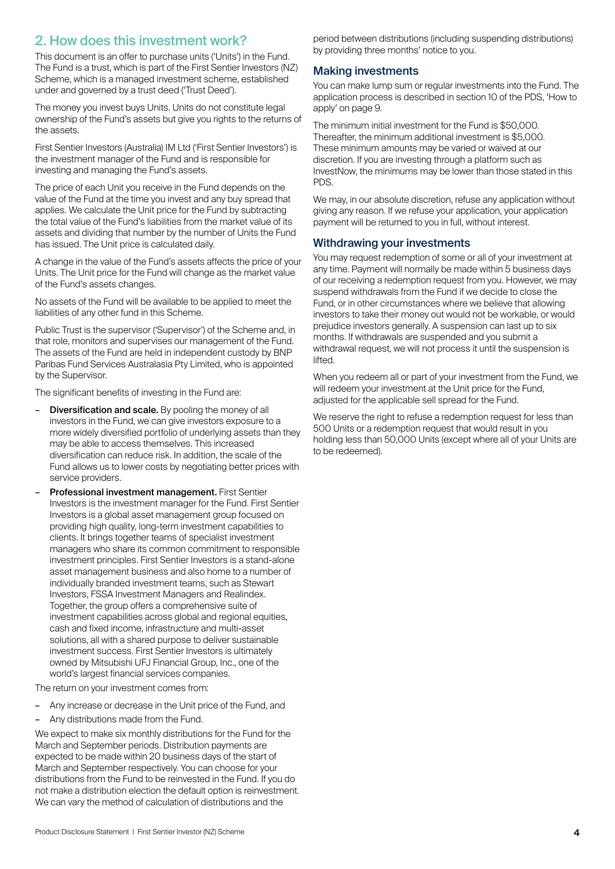# 2. How does this investment work?

This document is an offer to purchase units ('Units') in the Fund. The Fund is a trust, which is part of the First Sentier Investors (NZ) Scheme, which is a managed investment scheme, established under and governed by a trust deed ('Trust Deed').

The money you invest buys Units. Units do not constitute legal ownership of the Fund's assets but give you rights to the returns of the assets.

First Sentier Investors (Australia) IM Ltd ('First Sentier Investors') is the investment manager of the Fund and is responsible for investing and managing the Fund's assets.

The price of each Unit you receive in the Fund depends on the value of the Fund at the time you invest and any buy spread that applies. We calculate the Unit price for the Fund by subtracting the total value of the Fund's liabilities from the market value of its assets and dividing that number by the number of Units the Fund has issued. The Unit price is calculated daily.

A change in the value of the Fund's assets affects the price of your Units. The Unit price for the Fund will change as the market value of the Fund's assets changes.

No assets of the Fund will be available to be applied to meet the liabilities of any other fund in this Scheme.

Public Trust is the supervisor ('Supervisor') of the Scheme and, in that role, monitors and supervises our management of the Fund. The assets of the Fund are held in independent custody by BNP Paribas Fund Services Australasia Pty Limited, who is appointed by the Supervisor.

The significant benefits of investing in the Fund are:

- **Diversification and scale.** By pooling the money of all investors in the Fund, we can give investors exposure to a more widely diversified portfolio of underlying assets than they may be able to access themselves. This increased diversification can reduce risk. In addition, the scale of the Fund allows us to lower costs by negotiating better prices with service providers.
- Professional investment management. First Sentier Investors is the investment manager for the Fund. First Sentier Investors is a global asset management group focused on providing high quality, long-term investment capabilities to clients. It brings together teams of specialist investment managers who share its common commitment to responsible investment principles. First Sentier Investors is a stand-alone asset management business and also home to a number of individually branded investment teams, such as Stewart Investors, FSSA Investment Managers and Realindex. Together, the group offers a comprehensive suite of investment capabilities across global and regional equities, cash and fixed income, infrastructure and multi-asset solutions, all with a shared purpose to deliver sustainable investment success. First Sentier Investors is ultimately owned by Mitsubishi UFJ Financial Group, Inc., one of the world's largest financial services companies.

The return on your investment comes from:

- Any increase or decrease in the Unit price of the Fund, and
- Any distributions made from the Fund.

We expect to make six monthly distributions for the Fund for the March and September periods. Distribution payments are expected to be made within 20 business days of the start of March and September respectively. You can choose for your distributions from the Fund to be reinvested in the Fund. If you do not make a distribution election the default option is reinvestment. We can vary the method of calculation of distributions and the

period between distributions (including suspending distributions) by providing three months' notice to you.

#### Making investments

You can make lump sum or regular investments into the Fund. The application process is described in section 10 of the PDS, 'How to apply' on page 9.

The minimum initial investment for the Fund is \$50,000. Thereafter, the minimum additional investment is \$5,000. These minimum amounts may be varied or waived at our discretion. If you are investing through a platform such as InvestNow, the minimums may be lower than those stated in this PDS.

We may, in our absolute discretion, refuse any application without giving any reason. If we refuse your application, your application payment will be returned to you in full, without interest.

### Withdrawing your investments

You may request redemption of some or all of your investment at any time. Payment will normally be made within 5 business days of our receiving a redemption request from you. However, we may suspend withdrawals from the Fund if we decide to close the Fund, or in other circumstances where we believe that allowing investors to take their money out would not be workable, or would prejudice investors generally. A suspension can last up to six months. If withdrawals are suspended and you submit a withdrawal request, we will not process it until the suspension is lifted.

When you redeem all or part of your investment from the Fund, we will redeem your investment at the Unit price for the Fund. adjusted for the applicable sell spread for the Fund.

We reserve the right to refuse a redemption request for less than 500 Units or a redemption request that would result in you holding less than 50,000 Units (except where all of your Units are to be redeemed).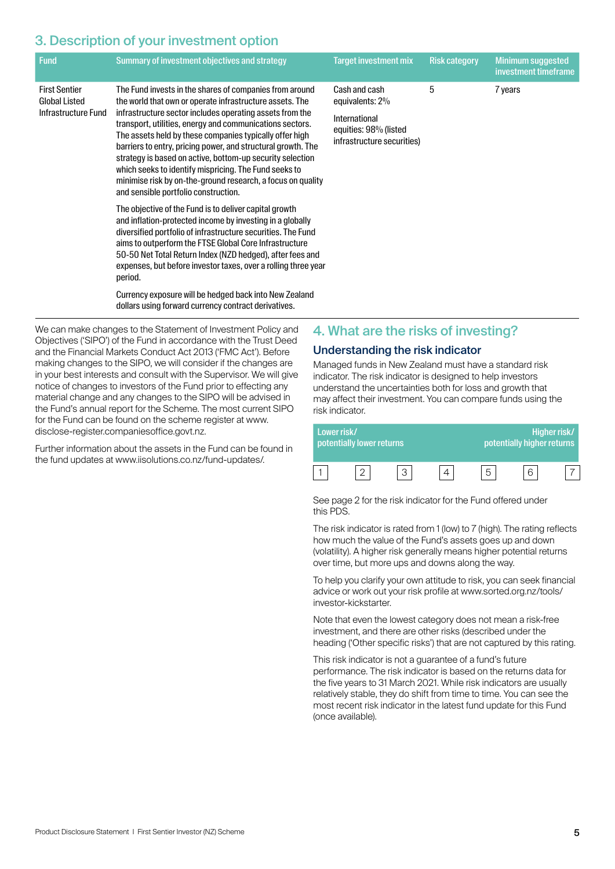# 3. Description of your investment option

| <b>Fund</b>                                                         | Summary of investment objectives and strategy                                                                                                                                                                                                                                                                                                                                                                                                                                                                                                                                                       | <b>Target investment mix</b>                                                                             | <b>Risk category</b> | <b>Minimum suggested</b><br>investment timeframe |
|---------------------------------------------------------------------|-----------------------------------------------------------------------------------------------------------------------------------------------------------------------------------------------------------------------------------------------------------------------------------------------------------------------------------------------------------------------------------------------------------------------------------------------------------------------------------------------------------------------------------------------------------------------------------------------------|----------------------------------------------------------------------------------------------------------|----------------------|--------------------------------------------------|
| <b>First Sentier</b><br><b>Global Listed</b><br>Infrastructure Fund | The Fund invests in the shares of companies from around<br>the world that own or operate infrastructure assets. The<br>infrastructure sector includes operating assets from the<br>transport, utilities, energy and communications sectors.<br>The assets held by these companies typically offer high<br>barriers to entry, pricing power, and structural growth. The<br>strategy is based on active, bottom-up security selection<br>which seeks to identify mispricing. The Fund seeks to<br>minimise risk by on-the-ground research, a focus on quality<br>and sensible portfolio construction. | Cash and cash<br>equivalents: 2%<br>International<br>equities: 98% (listed<br>infrastructure securities) | 5                    | 7 years                                          |
|                                                                     | The objective of the Fund is to deliver capital growth<br>and inflation-protected income by investing in a globally<br>diversified portfolio of infrastructure securities. The Fund<br>aims to outperform the FTSE Global Core Infrastructure<br>50-50 Net Total Return Index (NZD hedged), after fees and<br>expenses, but before investor taxes, over a rolling three year<br>period.<br>Currency exposure will be hedged back into New Zealand<br>dollars using forward currency contract derivatives.                                                                                           |                                                                                                          |                      |                                                  |

We can make changes to the Statement of Investment Policy and Objectives ('SIPO') of the Fund in accordance with the Trust Deed and the Financial Markets Conduct Act 2013 ('FMC Act'). Before making changes to the SIPO, we will consider if the changes are in your best interests and consult with the Supervisor. We will give notice of changes to investors of the Fund prior to effecting any material change and any changes to the SIPO will be advised in the Fund's annual report for the Scheme. The most current SIPO for the Fund can be found on the scheme register at [www.](http://www.disclose-register.companiesoffice.govt.nz) [disclose-register.companiesoffice.govt.nz.](http://www.disclose-register.companiesoffice.govt.nz)

Further information about the assets in the Fund can be found in the fund updates at [www.iisolutions.co.nz/fund-updates/](http://www.iisolutions.co.nz/fund-updates/).

## 4. What are the risks of investing?

### Understanding the risk indicator

Managed funds in New Zealand must have a standard risk indicator. The risk indicator is designed to help investors understand the uncertainties both for loss and growth that may affect their investment. You can compare funds using the risk indicator.

| Lower risk/ | potentially lower returns |  | potentially higher returns | Higher risk/ |
|-------------|---------------------------|--|----------------------------|--------------|
|             |                           |  |                            |              |

See page 2 for the risk indicator for the Fund offered under this PDS.

The risk indicator is rated from 1 (low) to 7 (high). The rating reflects how much the value of the Fund's assets goes up and down (volatility). A higher risk generally means higher potential returns over time, but more ups and downs along the way.

To help you clarify your own attitude to risk, you can seek financial advice or work out your risk profile at [www.sorted.org.nz/tools/](http://www.sorted.org.nz/tools/investor-kickstarter) [investor-kickstarter](http://www.sorted.org.nz/tools/investor-kickstarter).

Note that even the lowest category does not mean a risk-free investment, and there are other risks (described under the heading ('Other specific risks') that are not captured by this rating.

This risk indicator is not a guarantee of a fund's future performance. The risk indicator is based on the returns data for the five years to 31 March 2021. While risk indicators are usually relatively stable, they do shift from time to time. You can see the most recent risk indicator in the latest fund update for this Fund (once available).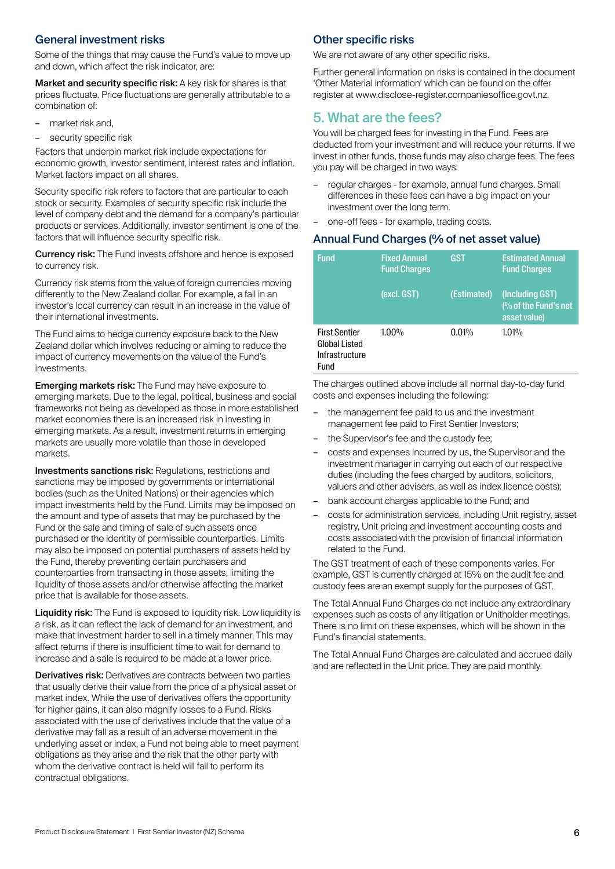## General investment risks

Some of the things that may cause the Fund's value to move up and down, which affect the risk indicator, are:

Market and security specific risk: A key risk for shares is that prices fluctuate. Price fluctuations are generally attributable to a combination of:

- market risk and,
- security specific risk

Factors that underpin market risk include expectations for economic growth, investor sentiment, interest rates and inflation. Market factors impact on all shares.

Security specific risk refers to factors that are particular to each stock or security. Examples of security specific risk include the level of company debt and the demand for a company's particular products or services. Additionally, investor sentiment is one of the factors that will influence security specific risk.

Currency risk: The Fund invests offshore and hence is exposed to currency risk.

Currency risk stems from the value of foreign currencies moving differently to the New Zealand dollar. For example, a fall in an investor's local currency can result in an increase in the value of their international investments.

The Fund aims to hedge currency exposure back to the New Zealand dollar which involves reducing or aiming to reduce the impact of currency movements on the value of the Fund's investments.

**Emerging markets risk:** The Fund may have exposure to emerging markets. Due to the legal, political, business and social frameworks not being as developed as those in more established market economies there is an increased risk in investing in emerging markets. As a result, investment returns in emerging markets are usually more volatile than those in developed markets.

Investments sanctions risk: Regulations, restrictions and sanctions may be imposed by governments or international bodies (such as the United Nations) or their agencies which impact investments held by the Fund. Limits may be imposed on the amount and type of assets that may be purchased by the Fund or the sale and timing of sale of such assets once purchased or the identity of permissible counterparties. Limits may also be imposed on potential purchasers of assets held by the Fund, thereby preventing certain purchasers and counterparties from transacting in those assets, limiting the liquidity of those assets and/or otherwise affecting the market price that is available for those assets.

Liquidity risk: The Fund is exposed to liquidity risk. Low liquidity is a risk, as it can reflect the lack of demand for an investment, and make that investment harder to sell in a timely manner. This may affect returns if there is insufficient time to wait for demand to increase and a sale is required to be made at a lower price.

Derivatives risk: Derivatives are contracts between two parties that usually derive their value from the price of a physical asset or market index. While the use of derivatives offers the opportunity for higher gains, it can also magnify losses to a Fund. Risks associated with the use of derivatives include that the value of a derivative may fall as a result of an adverse movement in the underlying asset or index, a Fund not being able to meet payment obligations as they arise and the risk that the other party with whom the derivative contract is held will fail to perform its contractual obligations.

## Other specific risks

We are not aware of any other specific risks.

Further general information on risks is contained in the document 'Other Material information' which can be found on the offer register at [www.disclose-register.companiesoffice.govt.nz.](http://www.disclose-register.companiesoffice.govt.nz)

## 5. What are the fees?

You will be charged fees for investing in the Fund. Fees are deducted from your investment and will reduce your returns. If we invest in other funds, those funds may also charge fees. The fees you pay will be charged in two ways:

- regular charges for example, annual fund charges. Small differences in these fees can have a big impact on your investment over the long term.
- one-off fees for example, trading costs.

## Annual Fund Charges (% of net asset value)

| <b>Fund</b>                                                            | <b>Fixed Annual</b><br><b>Fund Charges</b> | <b>GST</b>  | <b>Estimated Annual</b><br><b>Fund Charges</b>                      |
|------------------------------------------------------------------------|--------------------------------------------|-------------|---------------------------------------------------------------------|
|                                                                        | (excl. GST)                                | (Estimated) | (Including GST)<br>$\frac{10}{6}$ of the Fund's net<br>asset value) |
| <b>First Sentier</b><br><b>Global Listed</b><br>Infrastructure<br>Fund | $1.00\%$                                   | $0.01\%$    | 1.01%                                                               |

The charges outlined above include all normal day-to-day fund costs and expenses including the following:

- the management fee paid to us and the investment management fee paid to First Sentier Investors;
- the Supervisor's fee and the custody fee;
- costs and expenses incurred by us, the Supervisor and the investment manager in carrying out each of our respective duties (including the fees charged by auditors, solicitors, valuers and other advisers, as well as index licence costs);
- bank account charges applicable to the Fund; and
- costs for administration services, including Unit registry, asset registry, Unit pricing and investment accounting costs and costs associated with the provision of financial information related to the Fund.

The GST treatment of each of these components varies. For example, GST is currently charged at 15% on the audit fee and custody fees are an exempt supply for the purposes of GST.

The Total Annual Fund Charges do not include any extraordinary expenses such as costs of any litigation or Unitholder meetings. There is no limit on these expenses, which will be shown in the Fund's financial statements.

The Total Annual Fund Charges are calculated and accrued daily and are reflected in the Unit price. They are paid monthly.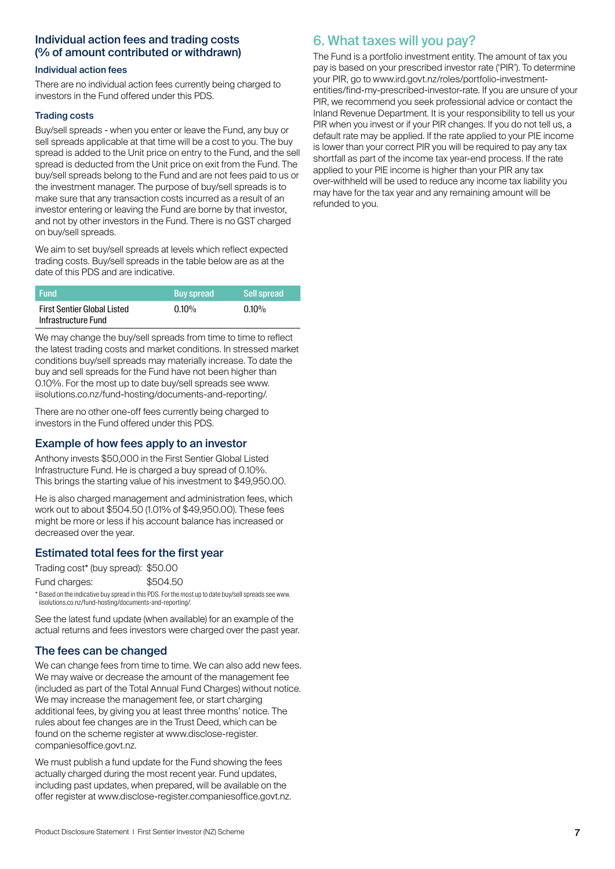## Individual action fees and trading costs (% of amount contributed or withdrawn)

#### Individual action fees

There are no individual action fees currently being charged to investors in the Fund offered under this PDS.

#### Trading costs

Buy/sell spreads - when you enter or leave the Fund, any buy or sell spreads applicable at that time will be a cost to you. The buy spread is added to the Unit price on entry to the Fund, and the sell spread is deducted from the Unit price on exit from the Fund. The buy/sell spreads belong to the Fund and are not fees paid to us or the investment manager. The purpose of buy/sell spreads is to make sure that any transaction costs incurred as a result of an investor entering or leaving the Fund are borne by that investor, and not by other investors in the Fund. There is no GST charged on buy/sell spreads.

We aim to set buy/sell spreads at levels which reflect expected trading costs. Buy/sell spreads in the table below are as at the date of this PDS and are indicative.

| <b>Fund</b>                        | <b>Buy spread</b> | <b>Sell spread</b> |
|------------------------------------|-------------------|--------------------|
| <b>First Sentier Global Listed</b> | $0.10\%$          | $0.10\%$           |
| Infrastructure Fund                |                   |                    |

We may change the buy/sell spreads from time to time to reflect the latest trading costs and market conditions. In stressed market conditions buy/sell spreads may materially increase. To date the buy and sell spreads for the Fund have not been higher than 0.10%. For the most up to date buy/sell spreads see [www.](http://www.iisolutions.co.nz/fund-hosting/documents-and-reporting/) [iisolutions.co.nz/fund-hosting/documents-and-reporting/](http://www.iisolutions.co.nz/fund-hosting/documents-and-reporting/).

There are no other one-off fees currently being charged to investors in the Fund offered under this PDS.

## Example of how fees apply to an investor

Anthony invests \$50,000 in the First Sentier Global Listed Infrastructure Fund. He is charged a buy spread of 0.10%. This brings the starting value of his investment to \$49,950.00.

He is also charged management and administration fees, which work out to about \$504.50 (1.01% of \$49,950.00). These fees might be more or less if his account balance has increased or decreased over the year.

## Estimated total fees for the first year

Trading cost\* (buy spread): \$50.00

| \$504.50 |
|----------|
|          |

\* Based on the indicative buy spread in this PDS. For the most up to date buy/sell spreads see [www.](http://www.iisolutions.co.nz/fund-hosting/documents-and-reporting/) [iisolutions.co.nz/fund-hosting/documents-and-reporting/.](http://www.iisolutions.co.nz/fund-hosting/documents-and-reporting/)

See the latest fund update (when available) for an example of the actual returns and fees investors were charged over the past year.

## The fees can be changed

We can change fees from time to time. We can also add new fees. We may waive or decrease the amount of the management fee (included as part of the Total Annual Fund Charges) without notice. We may increase the management fee, or start charging additional fees, by giving you at least three months' notice. The rules about fee changes are in the Trust Deed, which can be found on the scheme register at [www.disclose-register.](http://www.disclose-register.companiesoffice.govt.nz) [companiesoffice.govt.nz](http://www.disclose-register.companiesoffice.govt.nz).

We must publish a fund update for the Fund showing the fees actually charged during the most recent year. Fund updates, including past updates, when prepared, will be available on the offer register at [www.disclose-register.companiesoffice.govt.nz](http://www.disclose-register.companiesoffice.govt.nz).

# 6. What taxes will you pay?

The Fund is a portfolio investment entity. The amount of tax you pay is based on your prescribed investor rate ('PIR'). To determine your PIR, go to [www.ird.govt.nz/roles/portfolio-investment](http://www.ird.govt.nz/roles/portfolio-investment-entities/find-my-prescribed-investor-rate)[entities/find-my-prescribed-investor-rate.](http://www.ird.govt.nz/roles/portfolio-investment-entities/find-my-prescribed-investor-rate) If you are unsure of your PIR, we recommend you seek professional advice or contact the Inland Revenue Department. It is your responsibility to tell us your PIR when you invest or if your PIR changes. If you do not tell us, a default rate may be applied. If the rate applied to your PIE income is lower than your correct PIR you will be required to pay any tax shortfall as part of the income tax year-end process. If the rate applied to your PIE income is higher than your PIR any tax over-withheld will be used to reduce any income tax liability you may have for the tax year and any remaining amount will be refunded to you.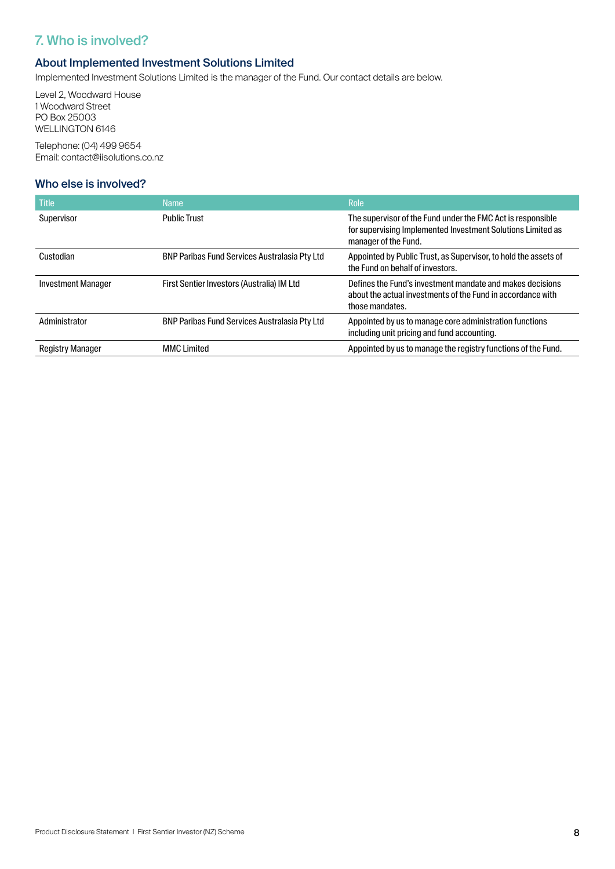# 7. Who is involved?

## About Implemented Investment Solutions Limited

Implemented Investment Solutions Limited is the manager of the Fund. Our contact details are below.

Level 2, Woodward House 1 Woodward Street PO Box 25003 WELLINGTON 6146

Telephone: (04) 499 9654 Email: [contact@iisolutions.co.nz](mailto:contact@iisolutions.co.nz)

## Who else is involved?

| <b>Title</b>              | <b>Name</b>                                          | <b>Role</b>                                                                                                                                        |
|---------------------------|------------------------------------------------------|----------------------------------------------------------------------------------------------------------------------------------------------------|
| Supervisor                | <b>Public Trust</b>                                  | The supervisor of the Fund under the FMC Act is responsible<br>for supervising Implemented Investment Solutions Limited as<br>manager of the Fund. |
| Custodian                 | <b>BNP Paribas Fund Services Australasia Pty Ltd</b> | Appointed by Public Trust, as Supervisor, to hold the assets of<br>the Fund on behalf of investors.                                                |
| <b>Investment Manager</b> | First Sentier Investors (Australia) IM Ltd           | Defines the Fund's investment mandate and makes decisions<br>about the actual investments of the Fund in accordance with<br>those mandates.        |
| Administrator             | <b>BNP Paribas Fund Services Australasia Pty Ltd</b> | Appointed by us to manage core administration functions<br>including unit pricing and fund accounting.                                             |
| <b>Registry Manager</b>   | <b>MMC Limited</b>                                   | Appointed by us to manage the registry functions of the Fund.                                                                                      |